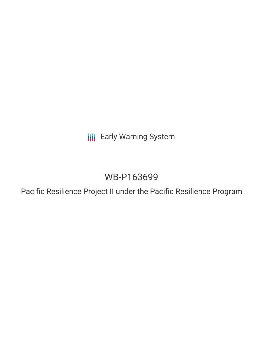**III** Early Warning System

# WB-P163699

Pacific Resilience Project II under the Pacific Resilience Program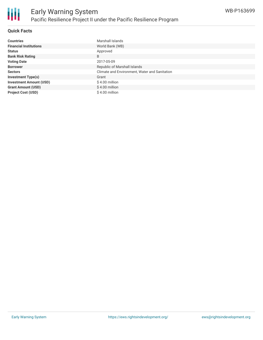

#### **Quick Facts**

| <b>Countries</b>               | Marshall Islands                              |
|--------------------------------|-----------------------------------------------|
| <b>Financial Institutions</b>  | World Bank (WB)                               |
| <b>Status</b>                  | Approved                                      |
| <b>Bank Risk Rating</b>        | B                                             |
| <b>Voting Date</b>             | 2017-05-09                                    |
| <b>Borrower</b>                | Republic of Marshall Islands                  |
| <b>Sectors</b>                 | Climate and Environment, Water and Sanitation |
| <b>Investment Type(s)</b>      | Grant                                         |
| <b>Investment Amount (USD)</b> | $$4.00$ million                               |
| <b>Grant Amount (USD)</b>      | $$4.00$ million                               |
| <b>Project Cost (USD)</b>      | \$4.00 million                                |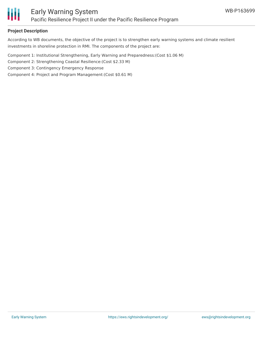

#### **Project Description**

According to WB documents, the objective of the project is to strengthen early warning systems and climate resilient investments in shoreline protection in RMI. The components of the project are:

Component 1: Institutional Strengthening, Early Warning and Preparedness:(Cost \$1.06 M)

Component 2: Strengthening Coastal Resilience:(Cost \$2.33 M)

Component 3: Contingency Emergency Response

Component 4: Project and Program Management:(Cost \$0.61 M)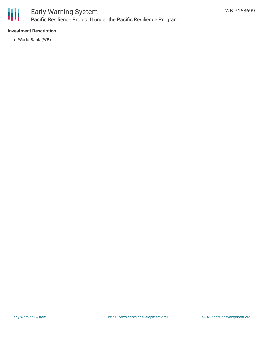

## Early Warning System Pacific Resilience Project II under the Pacific Resilience Program

### **Investment Description**

World Bank (WB)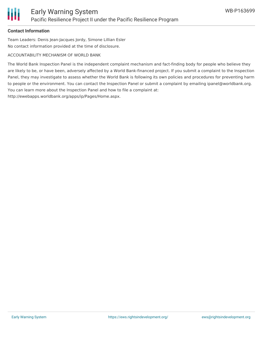#### **Contact Information**

Team Leaders: Denis Jean-Jacques Jordy, Simone Lillian Esler No contact information provided at the time of disclosure.

#### ACCOUNTABILITY MECHANISM OF WORLD BANK

The World Bank Inspection Panel is the independent complaint mechanism and fact-finding body for people who believe they are likely to be, or have been, adversely affected by a World Bank-financed project. If you submit a complaint to the Inspection Panel, they may investigate to assess whether the World Bank is following its own policies and procedures for preventing harm to people or the environment. You can contact the Inspection Panel or submit a complaint by emailing ipanel@worldbank.org. You can learn more about the Inspection Panel and how to file a complaint at: http://ewebapps.worldbank.org/apps/ip/Pages/Home.aspx.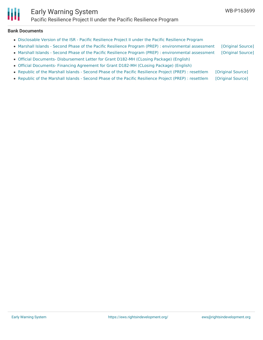

#### **Bank Documents**

- [Disclosable](http://documents.worldbank.org/curated/en/501971504233073956/pdf/Disclosable-Version-of-the-ISR-Pacific-Resilience-Project-II-under-the-Pacific-Resilience-Program-P163699-Sequence-No-01.pdf) Version of the ISR Pacific Resilience Project II under the Pacific Resilience Program
- Marshall Islands Second Phase of the Pacific Resilience Program (PREP) : [environmental](https://ewsdata.rightsindevelopment.org/files/documents/99/WB-P163699_AJnf0e5.pdf) assessment [\[Original](http://documents.worldbank.org/curated/en/226001490782832276/pdf/SFG3216-EA-P163699-Box402898B-PUBLIC-Disclosed-3-28-2017.pdf) Source]
- Marshall Islands Second Phase of the Pacific Resilience Program (PREP) : [environmental](https://ewsdata.rightsindevelopment.org/files/documents/99/WB-P163699_Rvkj30z.pdf) assessment [\[Original](http://documents.worldbank.org/curated/en/860711491815653144/pdf/SFG3216-EA-P163699-Box402900B-PUBLIC-Disclosed-4-6-2017.pdf) Source]
- Official Documents- [Disbursement](http://documents.worldbank.org/curated/en/566141507232186875/pdf/ITK171540-20179051532.pdf) Letter for Grant D182-MH (CLosing Package) (English)
- Official [Documents-](http://documents.worldbank.org/curated/en/608081507232436536/pdf/ITK171540-20179051538.pdf) Financing Agreement for Grant D182-MH (CLosing Package) (English)
- Republic of the Marshall Islands Second Phase of the Pacific [Resilience](https://ewsdata.rightsindevelopment.org/files/documents/99/WB-P163699.pdf) Project (PREP) : resettlem [\[Original](http://documents.worldbank.org/curated/en/618441491816331403/pdf/SFG3206-RP-P163699-Box402900B-PUBLIC-Disclosed-4-6-2017.pdf) Source]
- Republic of the Marshall Islands Second Phase of the Pacific [Resilience](https://ewsdata.rightsindevelopment.org/files/documents/99/WB-P163699_aUYTvdx.pdf) Project (PREP) : resettlem [\[Original](http://documents.worldbank.org/curated/en/446971490768551709/pdf/SFG3206-RP-P163699-Box402898B-PUBLIC-Disclosed-3-28-2017.pdf) Source]